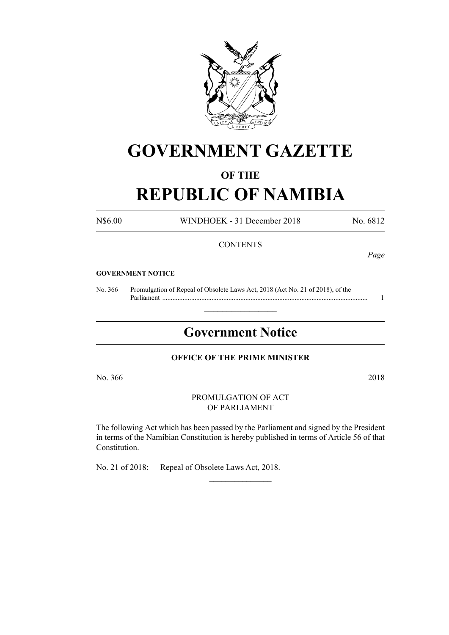

# **GOVERNMENT GAZETTE**

# **OF THE**

# **REPUBLIC OF NAMIBIA**

N\$6.00 WINDHOEK - 31 December 2018 No. 6812

# **CONTENTS**

*Page*

### **GOVERNMENT NOTICE**

No. 366 Promulgation of Repeal of Obsolete Laws Act, 2018 (Act No. 21 of 2018), of the Parliament ......................................................................................................................... 1

# **Government Notice**

 $\frac{1}{2}$  ,  $\frac{1}{2}$  ,  $\frac{1}{2}$  ,  $\frac{1}{2}$  ,  $\frac{1}{2}$  ,  $\frac{1}{2}$  ,  $\frac{1}{2}$ 

## **OFFICE OF THE PRIME MINISTER**

No. 366 2018

PROMULGATION OF ACT OF PARLIAMENT

The following Act which has been passed by the Parliament and signed by the President in terms of the Namibian Constitution is hereby published in terms of Article 56 of that Constitution.

 $\frac{1}{2}$ 

No. 21 of 2018: Repeal of Obsolete Laws Act, 2018.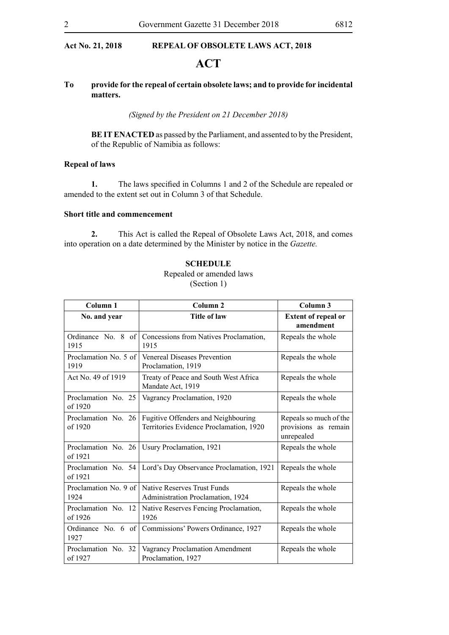# **ACT**

## **To provide for the repeal of certain obsolete laws; and to provide for incidental matters.**

*(Signed by the President on 21 December 2018)*

**BE IT ENACTED** as passed by the Parliament, and assented to by the President, of the Republic of Namibia as follows:

# **Repeal of laws**

**1.** The laws specified in Columns 1 and 2 of the Schedule are repealed or amended to the extent set out in Column 3 of that Schedule.

## **Short title and commencement**

**2.** This Act is called the Repeal of Obsolete Laws Act, 2018, and comes into operation on a date determined by the Minister by notice in the *Gazette.*

## **SCHEDULE**

# Repealed or amended laws (Section 1)

| Column 1                       | Column <sub>2</sub>                                                            | Column 3                                                     |
|--------------------------------|--------------------------------------------------------------------------------|--------------------------------------------------------------|
| No. and year                   | <b>Title of law</b>                                                            | <b>Extent of repeal or</b><br>amendment                      |
| Ordinance No. 8 of<br>1915     | Concessions from Natives Proclamation,<br>1915                                 | Repeals the whole                                            |
| Proclamation No. 5 of<br>1919  | <b>Venereal Diseases Prevention</b><br>Proclamation, 1919                      | Repeals the whole                                            |
| Act No. 49 of 1919             | Treaty of Peace and South West Africa<br>Mandate Act, 1919                     | Repeals the whole                                            |
| Proclamation No. 25<br>of 1920 | Vagrancy Proclamation, 1920                                                    | Repeals the whole                                            |
| Proclamation No. 26<br>of 1920 | Fugitive Offenders and Neighbouring<br>Territories Evidence Proclamation, 1920 | Repeals so much of the<br>provisions as remain<br>unrepealed |
| Proclamation No. 26<br>of 1921 | Usury Proclamation, 1921                                                       | Repeals the whole                                            |
| Proclamation No. 54<br>of 1921 | Lord's Day Observance Proclamation, 1921                                       | Repeals the whole                                            |
| Proclamation No. 9 of<br>1924  | Native Reserves Trust Funds<br>Administration Proclamation, 1924               | Repeals the whole                                            |
| Proclamation No. 12<br>of 1926 | Native Reserves Fencing Proclamation,<br>1926                                  | Repeals the whole                                            |
| Ordinance No. $6$ of<br>1927   | Commissions' Powers Ordinance, 1927                                            | Repeals the whole                                            |
| Proclamation No. 32<br>of 1927 | Vagrancy Proclamation Amendment<br>Proclamation, 1927                          | Repeals the whole                                            |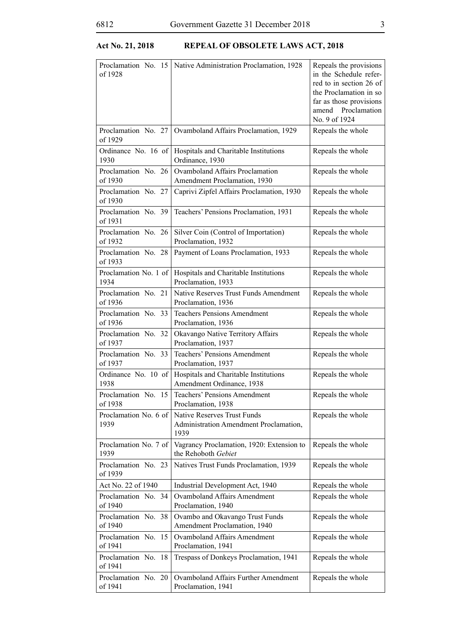| Proclamation No. 15<br>of 1928 | Native Administration Proclamation, 1928                                             | Repeals the provisions<br>in the Schedule refer-<br>red to in section 26 of<br>the Proclamation in so<br>far as those provisions<br>amend Proclamation<br>No. 9 of 1924 |
|--------------------------------|--------------------------------------------------------------------------------------|-------------------------------------------------------------------------------------------------------------------------------------------------------------------------|
| Proclamation No. 27<br>of 1929 | Ovamboland Affairs Proclamation, 1929                                                | Repeals the whole                                                                                                                                                       |
| Ordinance No. 16 of<br>1930    | Hospitals and Charitable Institutions<br>Ordinance, 1930                             | Repeals the whole                                                                                                                                                       |
| Proclamation No. 26<br>of 1930 | <b>Ovamboland Affairs Proclamation</b><br>Amendment Proclamation, 1930               | Repeals the whole                                                                                                                                                       |
| Proclamation No. 27<br>of 1930 | Caprivi Zipfel Affairs Proclamation, 1930                                            | Repeals the whole                                                                                                                                                       |
| Proclamation No. 39<br>of 1931 | Teachers' Pensions Proclamation, 1931                                                | Repeals the whole                                                                                                                                                       |
| Proclamation No. 26<br>of 1932 | Silver Coin (Control of Importation)<br>Proclamation, 1932                           | Repeals the whole                                                                                                                                                       |
| Proclamation No. 28<br>of 1933 | Payment of Loans Proclamation, 1933                                                  | Repeals the whole                                                                                                                                                       |
| Proclamation No. 1 of<br>1934  | Hospitals and Charitable Institutions<br>Proclamation, 1933                          | Repeals the whole                                                                                                                                                       |
| Proclamation No. 21<br>of 1936 | Native Reserves Trust Funds Amendment<br>Proclamation, 1936                          | Repeals the whole                                                                                                                                                       |
| Proclamation No. 33<br>of 1936 | <b>Teachers Pensions Amendment</b><br>Proclamation, 1936                             | Repeals the whole                                                                                                                                                       |
| Proclamation No. 32<br>of 1937 | Okavango Native Territory Affairs<br>Proclamation, 1937                              | Repeals the whole                                                                                                                                                       |
| Proclamation No. 33<br>of 1937 | Teachers' Pensions Amendment<br>Proclamation, 1937                                   | Repeals the whole                                                                                                                                                       |
| Ordinance No. 10 of<br>1938    | Hospitals and Charitable Institutions<br>Amendment Ordinance, 1938                   | Repeals the whole                                                                                                                                                       |
| of 1938                        | Proclamation No. 15 Teachers' Pensions Amendment<br>Proclamation, 1938               | Repeals the whole                                                                                                                                                       |
| Proclamation No. 6 of<br>1939  | <b>Native Reserves Trust Funds</b><br>Administration Amendment Proclamation,<br>1939 | Repeals the whole                                                                                                                                                       |
| Proclamation No. 7 of<br>1939  | Vagrancy Proclamation, 1920: Extension to<br>the Rehoboth Gebiet                     | Repeals the whole                                                                                                                                                       |
| Proclamation No. 23<br>of 1939 | Natives Trust Funds Proclamation, 1939                                               | Repeals the whole                                                                                                                                                       |
| Act No. 22 of 1940             | Industrial Development Act, 1940                                                     | Repeals the whole                                                                                                                                                       |
| Proclamation No. 34<br>of 1940 | <b>Ovamboland Affairs Amendment</b><br>Proclamation, 1940                            | Repeals the whole                                                                                                                                                       |
| Proclamation No. 38<br>of 1940 | Ovambo and Okavango Trust Funds<br>Amendment Proclamation, 1940                      | Repeals the whole                                                                                                                                                       |
| Proclamation No. 15<br>of 1941 | <b>Ovamboland Affairs Amendment</b><br>Proclamation, 1941                            | Repeals the whole                                                                                                                                                       |
| Proclamation No. 18<br>of 1941 | Trespass of Donkeys Proclamation, 1941                                               | Repeals the whole                                                                                                                                                       |
| Proclamation No. 20<br>of 1941 | Ovamboland Affairs Further Amendment<br>Proclamation, 1941                           | Repeals the whole                                                                                                                                                       |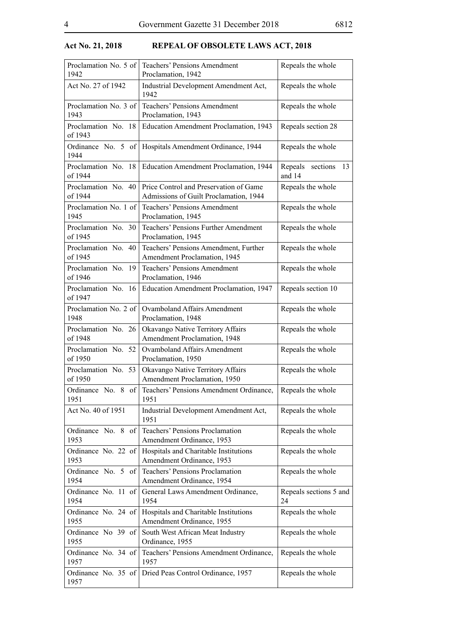| Proclamation No. 5 of<br>1942     | Teachers' Pensions Amendment<br>Proclamation, 1942                               | Repeals the whole                |
|-----------------------------------|----------------------------------------------------------------------------------|----------------------------------|
| Act No. 27 of 1942                | Industrial Development Amendment Act,<br>1942                                    | Repeals the whole                |
| Proclamation No. 3 of<br>1943     | Teachers' Pensions Amendment<br>Proclamation, 1943                               | Repeals the whole                |
| Proclamation No. 18<br>of 1943    | Education Amendment Proclamation, 1943                                           | Repeals section 28               |
| Ordinance No. 5 of<br>1944        | Hospitals Amendment Ordinance, 1944                                              | Repeals the whole                |
| Proclamation No.<br>18<br>of 1944 | Education Amendment Proclamation, 1944                                           | Repeals sections<br>13<br>and 14 |
| Proclamation No. 40<br>of 1944    | Price Control and Preservation of Game<br>Admissions of Guilt Proclamation, 1944 | Repeals the whole                |
| Proclamation No. 1 of<br>1945     | <b>Teachers' Pensions Amendment</b><br>Proclamation, 1945                        | Repeals the whole                |
| Proclamation No. 30<br>of 1945    | Teachers' Pensions Further Amendment<br>Proclamation, 1945                       | Repeals the whole                |
| Proclamation No.<br>40<br>of 1945 | Teachers' Pensions Amendment, Further<br>Amendment Proclamation, 1945            | Repeals the whole                |
| Proclamation No. 19<br>of 1946    | <b>Teachers' Pensions Amendment</b><br>Proclamation, 1946                        | Repeals the whole                |
| Proclamation No. 16<br>of 1947    | Education Amendment Proclamation, 1947                                           | Repeals section 10               |
| Proclamation No. 2 of<br>1948     | <b>Ovamboland Affairs Amendment</b><br>Proclamation, 1948                        | Repeals the whole                |
| Proclamation No. 26<br>of 1948    | Okavango Native Territory Affairs<br>Amendment Proclamation, 1948                | Repeals the whole                |
| Proclamation No. 52<br>of 1950    | <b>Ovamboland Affairs Amendment</b><br>Proclamation, 1950                        | Repeals the whole                |
| Proclamation No. 53<br>of 1950    | Okavango Native Territory Affairs<br>Amendment Proclamation, 1950                | Repeals the whole                |
| Ordinance No. 8 of<br>1951        | Teachers' Pensions Amendment Ordinance,<br>1951                                  | Repeals the whole                |
| Act No. 40 of 1951                | Industrial Development Amendment Act,<br>1951                                    | Repeals the whole                |
| Ordinance No. 8 of<br>1953        | Teachers' Pensions Proclamation<br>Amendment Ordinance, 1953                     | Repeals the whole                |
| Ordinance No. 22 of<br>1953       | Hospitals and Charitable Institutions<br>Amendment Ordinance, 1953               | Repeals the whole                |
| Ordinance No. 5 of<br>1954        | Teachers' Pensions Proclamation<br>Amendment Ordinance, 1954                     | Repeals the whole                |
| Ordinance No. 11 of<br>1954       | General Laws Amendment Ordinance,<br>1954                                        | Repeals sections 5 and<br>24     |
| Ordinance No. 24 of<br>1955       | Hospitals and Charitable Institutions<br>Amendment Ordinance, 1955               | Repeals the whole                |
| Ordinance No 39 of<br>1955        | South West African Meat Industry<br>Ordinance, 1955                              | Repeals the whole                |
| Ordinance No. 34 of<br>1957       | Teachers' Pensions Amendment Ordinance,<br>1957                                  | Repeals the whole                |
| Ordinance No. 35 of<br>1957       | Dried Peas Control Ordinance, 1957                                               | Repeals the whole                |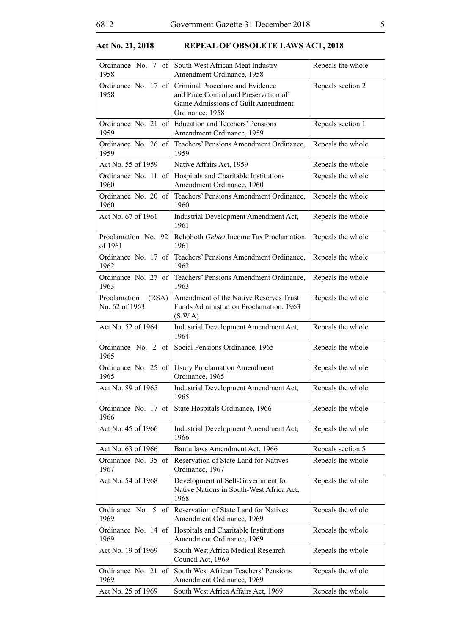| Ordinance No. 7 of<br>1958              | South West African Meat Industry<br>Amendment Ordinance, 1958                                                                     | Repeals the whole |
|-----------------------------------------|-----------------------------------------------------------------------------------------------------------------------------------|-------------------|
| Ordinance No. 17 of<br>1958             | Criminal Procedure and Evidence<br>and Price Control and Preservation of<br>Game Admissions of Guilt Amendment<br>Ordinance, 1958 | Repeals section 2 |
| Ordinance No. 21 of<br>1959             | <b>Education and Teachers' Pensions</b><br>Amendment Ordinance, 1959                                                              | Repeals section 1 |
| Ordinance No. 26 of<br>1959             | Teachers' Pensions Amendment Ordinance,<br>1959                                                                                   | Repeals the whole |
| Act No. 55 of 1959                      | Native Affairs Act, 1959                                                                                                          | Repeals the whole |
| Ordinance No. 11 of<br>1960             | Hospitals and Charitable Institutions<br>Amendment Ordinance, 1960                                                                | Repeals the whole |
| Ordinance No. 20 of<br>1960             | Teachers' Pensions Amendment Ordinance,<br>1960                                                                                   | Repeals the whole |
| Act No. 67 of 1961                      | Industrial Development Amendment Act,<br>1961                                                                                     | Repeals the whole |
| Proclamation No. 92<br>of 1961          | Rehoboth Gebiet Income Tax Proclamation,<br>1961                                                                                  | Repeals the whole |
| Ordinance No. 17 of<br>1962             | Teachers' Pensions Amendment Ordinance,<br>1962                                                                                   | Repeals the whole |
| Ordinance No. 27 of<br>1963             | Teachers' Pensions Amendment Ordinance,<br>1963                                                                                   | Repeals the whole |
| Proclamation<br>(RSA)<br>No. 62 of 1963 | Amendment of the Native Reserves Trust<br>Funds Administration Proclamation, 1963<br>(S.W.A)                                      | Repeals the whole |
| Act No. 52 of 1964                      | Industrial Development Amendment Act,<br>1964                                                                                     | Repeals the whole |
| Ordinance No. 2 of<br>1965              | Social Pensions Ordinance, 1965                                                                                                   | Repeals the whole |
| Ordinance No. 25 of<br>1965             | <b>Usury Proclamation Amendment</b><br>Ordinance, 1965                                                                            | Repeals the whole |
| Act No. 89 of 1965                      | Industrial Development Amendment Act,<br>1965                                                                                     | Repeals the whole |
| Ordinance No. 17 of<br>1966             | State Hospitals Ordinance, 1966                                                                                                   | Repeals the whole |
| Act No. 45 of 1966                      | Industrial Development Amendment Act,<br>1966                                                                                     | Repeals the whole |
| Act No. 63 of 1966                      | Bantu laws Amendment Act, 1966                                                                                                    | Repeals section 5 |
| Ordinance No. 35 of<br>1967             | Reservation of State Land for Natives<br>Ordinance, 1967                                                                          | Repeals the whole |
| Act No. 54 of 1968                      | Development of Self-Government for<br>Native Nations in South-West Africa Act,<br>1968                                            | Repeals the whole |
| Ordinance No. 5 of<br>1969              | Reservation of State Land for Natives<br>Amendment Ordinance, 1969                                                                | Repeals the whole |
| Ordinance No. 14 of<br>1969             | Hospitals and Charitable Institutions<br>Amendment Ordinance, 1969                                                                | Repeals the whole |
| Act No. 19 of 1969                      | South West Africa Medical Research<br>Council Act, 1969                                                                           | Repeals the whole |
| Ordinance No. 21 of<br>1969             | South West African Teachers' Pensions<br>Amendment Ordinance, 1969                                                                | Repeals the whole |
| Act No. 25 of 1969                      | South West Africa Affairs Act, 1969                                                                                               | Repeals the whole |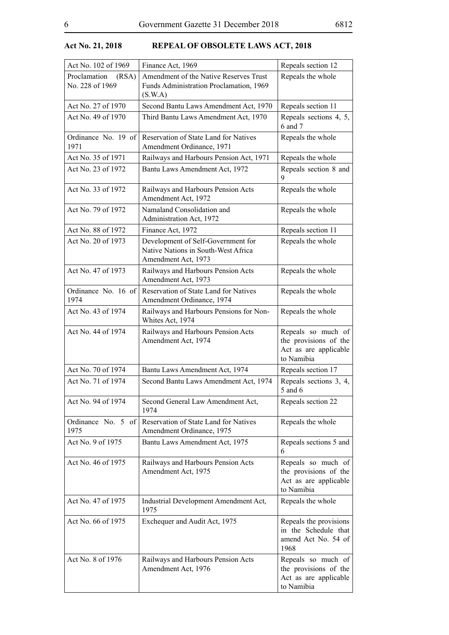| Act No. 102 of 1969                      | Finance Act, 1969                                                                                | Repeals section 12                                                                 |
|------------------------------------------|--------------------------------------------------------------------------------------------------|------------------------------------------------------------------------------------|
| Proclamation<br>(RSA)<br>No. 228 of 1969 | Amendment of the Native Reserves Trust<br>Funds Administration Proclamation, 1969<br>(S.W.A)     | Repeals the whole                                                                  |
| Act No. 27 of 1970                       | Second Bantu Laws Amendment Act, 1970                                                            | Repeals section 11                                                                 |
| Act No. 49 of 1970                       | Third Bantu Laws Amendment Act, 1970                                                             | Repeals sections 4, 5,<br>6 and 7                                                  |
| Ordinance No. 19 of<br>1971              | Reservation of State Land for Natives<br>Amendment Ordinance, 1971                               | Repeals the whole                                                                  |
| Act No. 35 of 1971                       | Railways and Harbours Pension Act, 1971                                                          | Repeals the whole                                                                  |
| Act No. 23 of 1972                       | Bantu Laws Amendment Act, 1972                                                                   | Repeals section 8 and<br>9                                                         |
| Act No. 33 of 1972                       | Railways and Harbours Pension Acts<br>Amendment Act, 1972                                        | Repeals the whole                                                                  |
| Act No. 79 of 1972                       | Namaland Consolidation and<br>Administration Act, 1972                                           | Repeals the whole                                                                  |
| Act No. 88 of 1972                       | Finance Act, 1972                                                                                | Repeals section 11                                                                 |
| Act No. 20 of 1973                       | Development of Self-Government for<br>Native Nations in South-West Africa<br>Amendment Act, 1973 | Repeals the whole                                                                  |
| Act No. 47 of 1973                       | Railways and Harbours Pension Acts<br>Amendment Act, 1973                                        | Repeals the whole                                                                  |
| Ordinance No. 16 of<br>1974              | Reservation of State Land for Natives<br>Amendment Ordinance, 1974                               | Repeals the whole                                                                  |
| Act No. 43 of 1974                       | Railways and Harbours Pensions for Non-<br>Whites Act, 1974                                      | Repeals the whole                                                                  |
| Act No. 44 of 1974                       | Railways and Harbours Pension Acts<br>Amendment Act, 1974                                        | Repeals so much of<br>the provisions of the<br>Act as are applicable<br>to Namibia |
| Act No. 70 of 1974                       | Bantu Laws Amendment Act, 1974                                                                   | Repeals section 17                                                                 |
| Act No. 71 of 1974                       | Second Bantu Laws Amendment Act, 1974                                                            | Repeals sections 3, 4,<br>5 and 6                                                  |
| Act No. 94 of 1974                       | Second General Law Amendment Act,<br>1974                                                        | Repeals section 22                                                                 |
| Ordinance No. 5 of<br>1975               | Reservation of State Land for Natives<br>Amendment Ordinance, 1975                               | Repeals the whole                                                                  |
| Act No. 9 of 1975                        | Bantu Laws Amendment Act, 1975                                                                   | Repeals sections 5 and<br>6                                                        |
| Act No. 46 of 1975                       | Railways and Harbours Pension Acts<br>Amendment Act, 1975                                        | Repeals so much of<br>the provisions of the<br>Act as are applicable<br>to Namibia |
| Act No. 47 of 1975                       | Industrial Development Amendment Act,<br>1975                                                    | Repeals the whole                                                                  |
| Act No. 66 of 1975                       | Exchequer and Audit Act, 1975                                                                    | Repeals the provisions<br>in the Schedule that<br>amend Act No. 54 of<br>1968      |
| Act No. 8 of 1976                        | Railways and Harbours Pension Acts<br>Amendment Act, 1976                                        | Repeals so much of<br>the provisions of the<br>Act as are applicable<br>to Namibia |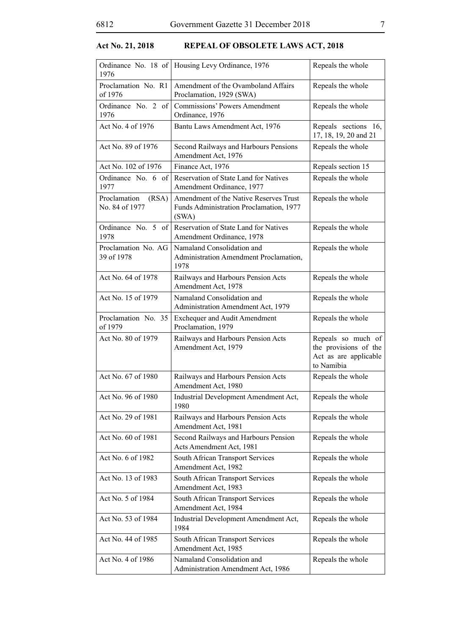| 1976                                    | Ordinance No. 18 of Housing Levy Ordinance, 1976                                           | Repeals the whole                                                                  |
|-----------------------------------------|--------------------------------------------------------------------------------------------|------------------------------------------------------------------------------------|
| Proclamation No. R1<br>of 1976          | Amendment of the Ovamboland Affairs<br>Proclamation, 1929 (SWA)                            | Repeals the whole                                                                  |
| Ordinance No. 2 of<br>1976              | <b>Commissions' Powers Amendment</b><br>Ordinance, 1976                                    | Repeals the whole                                                                  |
| Act No. 4 of 1976                       | Bantu Laws Amendment Act, 1976                                                             | Repeals sections 16,<br>17, 18, 19, 20 and 21                                      |
| Act No. 89 of 1976                      | Second Railways and Harbours Pensions<br>Amendment Act, 1976                               | Repeals the whole                                                                  |
| Act No. 102 of 1976                     | Finance Act, 1976                                                                          | Repeals section 15                                                                 |
| Ordinance No. 6 of<br>1977              | Reservation of State Land for Natives<br>Amendment Ordinance, 1977                         | Repeals the whole                                                                  |
| (RSA)<br>Proclamation<br>No. 84 of 1977 | Amendment of the Native Reserves Trust<br>Funds Administration Proclamation, 1977<br>(SWA) | Repeals the whole                                                                  |
| Ordinance No. 5 of<br>1978              | Reservation of State Land for Natives<br>Amendment Ordinance, 1978                         | Repeals the whole                                                                  |
| Proclamation No. AG<br>39 of 1978       | Namaland Consolidation and<br>Administration Amendment Proclamation,<br>1978               | Repeals the whole                                                                  |
| Act No. 64 of 1978                      | Railways and Harbours Pension Acts<br>Amendment Act, 1978                                  | Repeals the whole                                                                  |
| Act No. 15 of 1979                      | Namaland Consolidation and<br>Administration Amendment Act, 1979                           | Repeals the whole                                                                  |
| Proclamation No. 35<br>of 1979          | <b>Exchequer and Audit Amendment</b><br>Proclamation, 1979                                 | Repeals the whole                                                                  |
| Act No. 80 of 1979                      | Railways and Harbours Pension Acts<br>Amendment Act, 1979                                  | Repeals so much of<br>the provisions of the<br>Act as are applicable<br>to Namibia |
| Act No. 67 of 1980                      | Railways and Harbours Pension Acts<br>Amendment Act, 1980                                  | Repeals the whole                                                                  |
| Act No. 96 of 1980                      | Industrial Development Amendment Act,<br>1980                                              | Repeals the whole                                                                  |
| Act No. 29 of 1981                      | Railways and Harbours Pension Acts<br>Amendment Act, 1981                                  | Repeals the whole                                                                  |
| Act No. 60 of 1981                      | Second Railways and Harbours Pension<br>Acts Amendment Act, 1981                           | Repeals the whole                                                                  |
| Act No. 6 of 1982                       | South African Transport Services<br>Amendment Act, 1982                                    | Repeals the whole                                                                  |
| Act No. 13 of 1983                      | South African Transport Services<br>Amendment Act, 1983                                    | Repeals the whole                                                                  |
| Act No. 5 of 1984                       | South African Transport Services<br>Amendment Act, 1984                                    | Repeals the whole                                                                  |
| Act No. 53 of 1984                      | Industrial Development Amendment Act,<br>1984                                              | Repeals the whole                                                                  |
| Act No. 44 of 1985                      | South African Transport Services<br>Amendment Act, 1985                                    | Repeals the whole                                                                  |
| Act No. 4 of 1986                       | Namaland Consolidation and<br>Administration Amendment Act, 1986                           | Repeals the whole                                                                  |